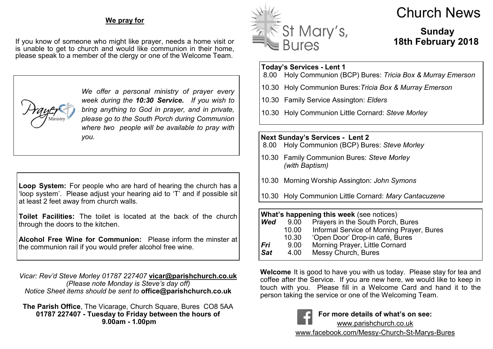#### **We pray for**

If you know of someone who might like prayer, needs a home visit or is unable to get to church and would like communion in their home, please speak to a member of the clergy or one of the Welcome Team.



*We offer a personal ministry of prayer every week during the 10:30 Service. If you wish to bring anything to God in prayer, and in private, please go to the South Porch during Communion where two people will be available to pray with you.*

**Loop System:** For people who are hard of hearing the church has a 'loop system'. Please adjust your hearing aid to 'T' and if possible sit at least 2 feet away from church walls.

**Toilet Facilities:** The toilet is located at the back of the church through the doors to the kitchen.

**Alcohol Free Wine for Communion:** Please inform the minster at the communion rail if you would prefer alcohol free wine.

*Vicar: Rev'd Steve Morley 01787 227407* **vicar@parishchurch.co.uk** *(Please note Monday is Steve's day off) Notice Sheet items should be sent to* **office@parishchurch.co.uk**

**The Parish Office**, The Vicarage, Church Square, Bures CO8 5AA **01787 227407 - Tuesday to Friday between the hours of 9.00am - 1.00pm**



# Church News

## **Sunday 18th February 2018**

## **Today's Services - Lent 1**

- 8.00 Holy Communion (BCP) Bures: *Tricia Box & Murray Emerson*
- 10.30 Holy Communion Bures:*Tricia Box & Murray Emerson*
- 10.30 Family Service Assington: *Elders*
- 10.30 Holy Communion Little Cornard: *Steve Morley*

**Next Sunday's Services - Lent 2**

- 8.00 Holy Communion (BCP) Bures: *Steve Morley*
- 10.30 Family Communion Bures: *Steve Morley (with Baptism)*
- 10.30 Morning Worship Assington: *John Symons*
- 10.30 Holy Communion Little Cornard: *Mary Cantacuzene*

### **What's happening this week** (see notices)<br>**Wed** 9.00 Pravers in the South Porch. **Prayers in the South Porch, Bures** 10.00 Informal Service of Morning Prayer, Bures

- 10.30 'Open Door' Drop-in café, Bures
- *Fri* 9.00 Morning Prayer, Little Cornard
- *Sat* 4.00 Messy Church, Bures

**Welcome** It is good to have you with us today. Please stay for tea and coffee after the Service. If you are new here, we would like to keep in touch with you. Please fill in a Welcome Card and hand it to the person taking the service or one of the Welcoming Team.



**For more details of what's on see:** www.parishchurch.co.uk www.facebook.com/Messy-Church-St-Marys-Bures